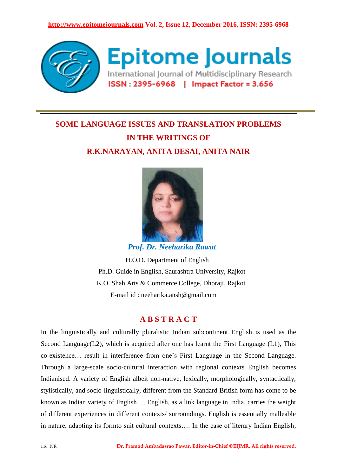

# **SOME LANGUAGE ISSUES AND TRANSLATION PROBLEMS IN THE WRITINGS OF R.K.NARAYAN, ANITA DESAI, ANITA NAIR**



 *Prof. Dr. Neeharika Rawat*

 H.O.D. Department of English Ph.D. Guide in English, Saurashtra University, Rajkot K.O. Shah Arts & Commerce College, Dhoraji, Rajkot E-mail id : neeharika.ansh@gmail.com

# **A B S T R A C T**

In the linguistically and culturally pluralistic Indian subcontinent English is used as the Second Language( $L2$ ), which is acquired after one has learnt the First Language ( $L1$ ), This co-existence… result in interference from one"s First Language in the Second Language. Through a large-scale socio-cultural interaction with regional contexts English becomes Indianised. A variety of English albeit non-native, lexically, morphologically, syntactically, stylistically, and socio-linguistically, different from the Standard British form has come to be known as Indian variety of English…. English, as a link language in India, carries the weight of different experiences in different contexts/ surroundings. English is essentially malleable in nature, adapting its formto suit cultural contexts…. In the case of literary Indian English,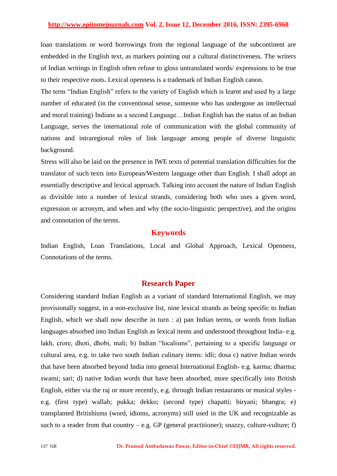loan translations or word borrowings from the regional language of the subcontinent are embedded in the English text, as markers pointing out a cultural distinctiveness. The writers of Indian writings in English often refuse to gloss untranslated words/ expressions to be true to their respective roots. Lexical openness is a trademark of Indian English canon.

The term "Indian English" refers to the variety of English which is learnt and used by a large number of educated (in the conventional sense, someone who has undergone an intellectual and moral training) Indians as a second Language…Indian English has the status of an Indian Language, serves the international role of communication with the global community of nations and intraregional roles of link language among people of diverse linguistic background.

Stress will also be laid on the presence in IWE texts of potential translation difficulties for the translator of such texts into European/Western language other than English. I shall adopt an essentially descriptive and lexical approach. Talking into account the nature of Indian English as divisible into a number of lexical strands, considering both who uses a given word, expression or acronym, and when and why (the socio-linguistic perspective), and the origins and connotation of the terms.

# **Keywords**

Indian English, Loan Translations, Local and Global Approach, Lexical Openness, Connotations of the terms.

## **Research Paper**

Considering standard Indian English as a variant of standard International English, we may provisionally suggest, in a non-exclusive list, nine lexical strands as being specific to Indian English, which we shall now describe in turn : a) pan Indian terms, or words from Indian languages absorbed into Indian English as lexical items and understood throughout India- e.g. lakh, crore, dhoti, dhobi, mali; b) Indian "localisms", pertaining to a specific language or cultural area, e.g. to take two south Indian culinary items: idli; dosa c) native Indian words that have been absorbed beyond India into general International English- e.g. karma; dharma; swami; sari; d) native Indian words that have been absorbed, more specifically into British English, either via the raj or more recently, e.g. through Indian restaurants or musical styles e.g. (first type) wallah; pukka; dekko; (second type) chapatti; biryani; bhangra; e) transplanted Britishisms (word, idioms, acronyms) still used in the UK and recognizable as such to a reader from that country – e.g. GP (general practitioner); snazzy, culture-vulture; f)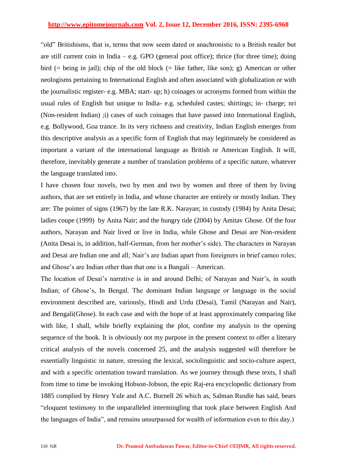"old" Britishisms, that is, terms that now seem dated or anachronistic to a British reader but are still current coin in India – e.g. GPO (general post office); thrice (for three time); doing bird (= being in jail); chip of the old block (= like father, like son); g) American or other neologisms pertaining to International English and often associated with globalization or with the journalistic register- e.g. MBA; start- up; h) coinages or acronyms formed from within the usual rules of English but unique to India- e.g. scheduled castes; shirtings; in- charge; nri (Non-resident Indian) ;i) cases of such coinages that have passed into International English, e.g. Bollywood, Goa trance. In its very richness and creativity, Indian English emerges from this descriptive analysis as a specific form of English that may legitimately be considered as important a variant of the international language as British or American English. It will, therefore, inevitably generate a number of translation problems of a specific nature, whatever the language translated into.

I have chosen four novels, two by men and two by women and three of them by living authors, that are set entirely in India, and whose character are entirely or mostly Indian. They are: The pointer of signs (1967) by the late R.K. Narayan; in custody (1984) by Anita Desai; ladies coupe (1999) by Anita Nair; and the hungry tide (2004) by Amitav Ghose. Of the four authors, Narayan and Nair lived or live in India, while Ghose and Desai are Non-resident (Anita Desai is, in addition, half-German, from her mother"s side). The characters in Narayan and Desai are Indian one and all; Nair"s are Indian apart from foreigners in brief cameo roles; and Ghose's are Indian other than that one is a Bangali – American.

The location of Desai's narrative is in and around Delhi; of Narayan and Nair's, in south Indian; of Ghose's, In Bengal. The dominant Indian language or language in the social environment described are, variously, Hindi and Urdu (Desai), Tamil (Narayan and Nair), and Bengali(Ghose). In each case and with the hope of at least approximately comparing like with like, I shall, while briefly explaining the plot, confine my analysis to the opening sequence of the book. It is obviously not my purpose in the present context to offer a literary critical analysis of the novels concerned 25, and the analysis suggested will therefore be essentially linguistic in nature, stressing the lexical, sociolinguistic and socio-culture aspect, and with a specific orientation toward translation. As we journey through these texts, I shall from time to time be invoking Hobson-Jobson, the epic Raj-era encyclopedic dictionary from 1885 complied by Henry Yule and A.C. Burnell 26 which as, Salman Rusdie has said, bears "eloquent testimony to the unparalleled intermingling that took place between English And the languages of India", and remains unsurpassed for wealth of information even to this day.)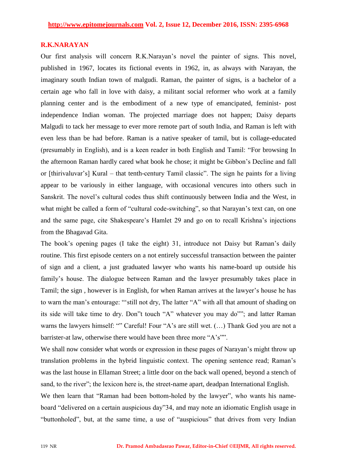#### **R.K.NARAYAN**

Our first analysis will concern R.K.Narayan"s novel the painter of signs. This novel, published in 1967, locates its fictional events in 1962, in, as always with Narayan, the imaginary south Indian town of malgudi. Raman, the painter of signs, is a bachelor of a certain age who fall in love with daisy, a militant social reformer who work at a family planning center and is the embodiment of a new type of emancipated, feminist- post independence Indian woman. The projected marriage does not happen; Daisy departs Malgudi to tack her message to ever more remote part of south India, and Raman is left with even less than be had before. Raman is a native speaker of tamil, but is collage-educated (presumably in English), and is a keen reader in both English and Tamil: "For browsing In the afternoon Raman hardly cared what book he chose; it might be Gibbon"s Decline and fall or [thirivaluvar"s] Kural – that tenth-century Tamil classic". The sign he paints for a living appear to be variously in either language, with occasional vencures into others such in Sanskrit. The novel"s cultural codes thus shift continuously between India and the West, in what might be called a form of "cultural code-switching", so that Narayan's text can, on one and the same page, cite Shakespeare"s Hamlet 29 and go on to recall Krishna"s injections from the Bhagavad Gita.

The book's opening pages (I take the eight) 31, introduce not Daisy but Raman's daily routine. This first episode centers on a not entirely successful transaction between the painter of sign and a client, a just graduated lawyer who wants his name-board up outside his family's house. The dialogue between Raman and the lawyer presumably takes place in Tamil; the sign , however is in English, for when Raman arrives at the lawyer"s house he has to warn the man"s entourage: ""still not dry, The latter "A" with all that amount of shading on its side will take time to dry. Don"t touch "A" whatever you may do""; and latter Raman warns the lawyers himself: "" Careful! Four "A's are still wet. (...) Thank God you are not a barrister-at law, otherwise there would have been three more "A's"".

We shall now consider what words or expression in these pages of Narayan's might throw up translation problems in the hybrid linguistic context. The opening sentence read; Raman"s was the last house in Ellaman Street; a little door on the back wall opened, beyond a stench of sand, to the river"; the lexicon here is, the street-name apart, deadpan International English.

We then learn that "Raman had been bottom-holed by the lawyer", who wants his nameboard "delivered on a certain auspicious day"34, and may note an idiomatic English usage in "buttonholed", but, at the same time, a use of "auspicious" that drives from very Indian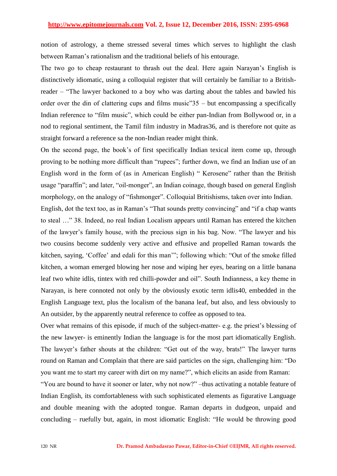notion of astrology, a theme stressed several times which serves to highlight the clash between Raman"s rationalism and the traditional beliefs of his entourage.

The two go to cheap restaurant to thrash out the deal. Here again Narayan"s English is distinctively idiomatic, using a colloquial register that will certainly be familiar to a Britishreader – "The lawyer backoned to a boy who was darting about the tables and bawled his order over the din of clattering cups and films music"35 – but encompassing a specifically Indian reference to "film music", which could be either pan-Indian from Bollywood or, in a nod to regional sentiment, the Tamil film industry in Madras36, and is therefore not quite as straight forward a reference sa the non-Indian reader might think.

On the second page, the book"s of first specifically Indian texical item come up, through proving to be nothing more difficult than "rupees"; further down, we find an Indian use of an English word in the form of (as in American English) " Kerosene" rather than the British usage "paraffin"; and later, "oil-monger", an Indian coinage, though based on general English morphology, on the analogy of "fishmonger". Colloquial Britishisms, taken over into Indian.

English, dot the text too, as in Raman's "That sounds pretty convincing" and "if a chap wants" to steal …" 38. Indeed, no real Indian Localism appears until Raman has entered the kitchen of the lawyer"s family house, with the precious sign in his bag. Now. "The lawyer and his two cousins become suddenly very active and effusive and propelled Raman towards the kitchen, saying, "Coffee" and edali for this man""; following which: "Out of the smoke filled kitchen, a woman emerged blowing her nose and wiping her eyes, bearing on a little banana leaf two white idlis, tintex with red chilli-powder and oil". South Indianness, a key theme in Narayan, is here connoted not only by the obviously exotic term idlis40, embedded in the English Language text, plus the localism of the banana leaf, but also, and less obviously to An outsider, by the apparently neutral reference to coffee as opposed to tea.

Over what remains of this episode, if much of the subject-matter- e.g. the priest's blessing of the new lawyer- is eminently Indian the language is for the most part idiomatically English. The lawyer's father shouts at the children: "Get out of the way, brats!" The lawyer turns round on Raman and Complain that there are said particles on the sign, challenging him: "Do you want me to start my career with dirt on my name?", which elicits an aside from Raman:

"You are bound to have it sooner or later, why not now?" –thus activating a notable feature of Indian English, its comfortableness with such sophisticated elements as figurative Language and double meaning with the adopted tongue. Raman departs in dudgeon, unpaid and concluding – ruefully but, again, in most idiomatic English: "He would be throwing good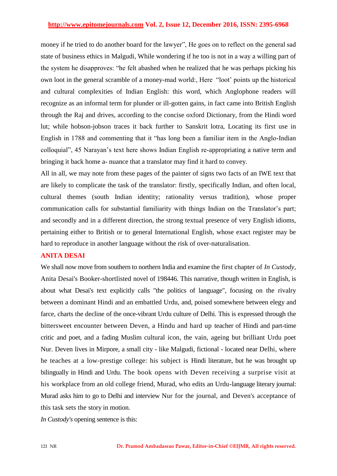money if he tried to do another board for the lawyer", He goes on to reflect on the general sad state of business ethics in Malgudi, While wondering if he too is not in a way a willing part of the system he disapproves: "he felt abashed when he realized that he was perhaps picking his own loot in the general scramble of a money-mad world:, Here "loot" points up the historical and cultural complexities of Indian English: this word, which Anglophone readers will recognize as an informal term for plunder or ill-gotten gains, in fact came into British English through the Raj and drives, according to the concise oxford Dictionary, from the Hindi word lut; while hobson-jobson traces it back further to Sanskrit lotra, Locating its first use in English in 1788 and commenting that it "has long been a familiar item in the Anglo-Indian colloquial", 45 Narayan"s text here shows Indian English re-appropriating a native term and bringing it back home a- nuance that a translator may find it hard to convey.

All in all, we may note from these pages of the painter of signs two facts of an IWE text that are likely to complicate the task of the translator: firstly, specifically Indian, and often local, cultural themes (south Indian identity; rationality versus tradition), whose proper communication calls for substantial familiarity with things Indian on the Translator's part; and secondly and in a different direction, the strong textual presence of very English idioms, pertaining either to British or to general International English, whose exact register may be hard to reproduce in another language without the risk of over-naturalisation.

### **ANITA DESAI**

We shall now move from southern to northern India and examine the first chapter of *In Custody,*  Anita Desai's Booker-shortlisted novel of 198446. This narrative, though written in English, is about what Desai's text explicitly calls "the politics of language", focusing on the rivalry between a dominant Hindi and an embattled Urdu, and, poised somewhere between elegy and farce, charts the decline of the once-vibrant Urdu culture of Delhi. This is expressed through the bittersweet encounter between Deven, a Hindu and hard up teacher of Hindi and part-time critic and poet, and a fading Muslim cultural icon, the vain, ageing but brilliant Urdu poet Nur. Deven lives in Mirpore, a small city - like Malgudi, fictional - located near Delhi, where he teaches at a low-prestige college: his subject is Hindi literature, but he was brought up bilingually in Hindi and Urdu. The book opens with Deven receiving a surprise visit at his workplace from an old college friend, Murad, who edits an Urdu-language literary journal: Murad asks him to go to Delhi and interview Nur for the journal, and Deven's acceptance of this task sets the story in motion.

*In Custody's* opening sentence is this: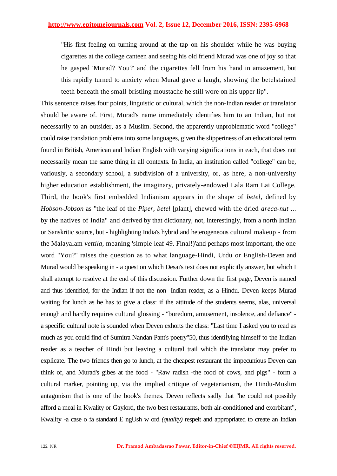"His first feeling on turning around at the tap on his shoulder while he was buying cigarettes at the college canteen and seeing his old friend Murad was one of joy so that he gasped 'Murad? You?' and the cigarettes fell from his hand in amazement, but this rapidly turned to anxiety when Murad gave a laugh, showing the betelstained teeth beneath the small bristling moustache he still wore on his upper lip".

This sentence raises four points, linguistic or cultural, which the non-Indian reader or translator should be aware of. First, Murad's name immediately identifies him to an Indian, but not necessarily to an outsider, as a Muslim. Second, the apparently unproblematic word "college" could raise translation problems into some languages, given the slipperiness of an educational term found in British, American and Indian English with varying significations in each, that does not necessarily mean the same thing in all contexts. In India, an institution called "college" can be, variously, a secondary school, a subdivision of a university, or, as here, a non-university higher education establishment, the imaginary, privately-endowed Lala Ram Lai College. Third, the book's first embedded Indianism appears in the shape of *betel,* defined by *Hobson-Jobson* as "the leaf of the *Piper, betel* [plant], chewed with the dried *areca-nut* ... by the natives of India" and derived by that dictionary, not, interestingly, from a north Indian or Sanskritic source, but - highlighting India's hybrid and heterogeneous cultural makeup - from the Malayalam *vettila,* meaning 'simple leaf 49. Final!)'and perhaps most important, the one word "You?" raises the question as to what language-Hindi, Urdu or English-Deven and Murad would be speaking in - a question which Desai's text does not explicitly answer, but which I shall attempt to resolve at the end of this discussion. Further down the first page, Deven is named and thus identified, for the Indian if not the non- Indian reader, as a Hindu. Deven keeps Murad waiting for lunch as he has to give a class: if the attitude of the students seems, alas, universal enough and hardly requires cultural glossing - "boredom, amusement, insolence, and defiance" a specific cultural note is sounded when Deven exhorts the class: "Last time I asked you to read as much as you could find of Sumitra Nandan Pant's poetry"50, thus identifying himself to the Indian reader as a teacher of Hindi but leaving a cultural trail which the translator may prefer to explicate. The two friends then go to lunch, at the cheapest restaurant the impecunious Deven can think of, and Murad's gibes at the food - "Raw radish -the food of cows, and pigs" - form a cultural marker, pointing up, via the implied critique of vegetarianism, the Hindu-Muslim antagonism that is one of the book's themes. Deven reflects sadly that "he could not possibly afford a meal in Kwality or Gaylord, the two best restaurants, both air-conditioned and exorbitant", Kwality -a case o fa standard E ngUsh w ord *(quality)* respelt and appropriated to create an Indian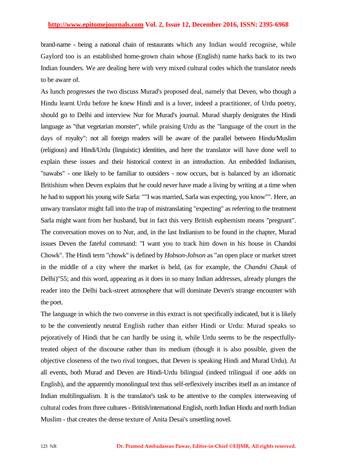brand-name - being a national chain of restaurants which any Indian would recognise, while Gaylord too is an established home-grown chain whose (English) name harks back to its two Indian founders. We are dealing here with very mixed cultural codes which the translator needs to be aware of.

As lunch progresses the two discuss Murad's proposed deal, namely that Deven, who though a Hindu learnt Urdu before he knew Hindi and is a lover, indeed a practitioner, of Urdu poetry, should go to Delhi and interview Nur for Murad's journal. Murad sharply denigrates the Hindi language as "that vegetarian monster", while praising Urdu as the "language of the court in the days of royalty": not all foreign readers will be aware of the parallel between Hindu/Muslim (religious) and Hindi/Urdu (linguistic) identities, and here the translator will have done well to explain these issues and their historical context in an introduction. An embedded Indianism, "nawabs" - one likely to be familiar to outsiders - now occurs, but is balanced by an idiomatic Britishism when Deven explains that he could never have made a living by writing at a time when he had to support his young wife Sarla: ""I was married, Sarla was expecting, you know"". Here, an unwary translator might fall into the trap of mistranslating "expecting" as referring to the treatment Sarla might want from her husband, but in fact this very British euphemism means "pregnant". The conversation moves on to Nur, and, in the last Indianism to be found in the chapter, Murad issues Deven the fateful command: "I want you to track him down in his house in Chandni Chowk". The Hindi term "chowk" is defined by *Hobson-Jobson* as "an open place or market street in the middle of a city where the market is held, (as for example, the *Chandni Chauk* of Delhi)"55; and this word, appearing as it does in so many Indian addresses, already plunges the reader into the Delhi back-street atmosphere that will dominate Deven's strange encounter with the poet.

The language in which the two converse in this extract is not specifically indicated, but it is likely to be the conveniently neutral English rather than either Hindi or Urdu: Murad speaks so pejoratively of Hindi that he can hardly be using it, while Urdu seems to be the respectfullytreated object of the discourse rather than its medium (though it is also possible, given the objective closeness of the two rival tongues, that Deven is speaking Hindi and Murad Urdu). At all events, both Murad and Deven are Hindi-Urdu bilingual (indeed trilingual if one adds on English), and the apparently monolingual text thus self-reflexively inscribes itself as an instance of Indian multilingualism. It is the translator's task to be attentive to the complex interweaving of cultural codes from three cultures - British/international English, north Indian Hindu and north Indian Muslim - that creates the dense texture of Anita Desai's unsettling novel.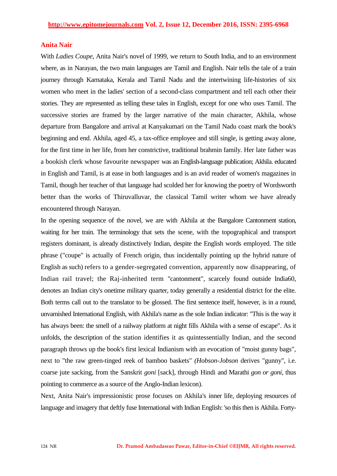#### **Anita Nair**

With *Ladies Coupe,* Anita Nair's novel of 1999, we return to South India, and to an environment where, as in Narayan, the two main languages are Tamil and English. Nair tells the tale of a train journey through Karnataka, Kerala and Tamil Nadu and the intertwining life-histories of six women who meet in the ladies' section of a second-class compartment and tell each other their stories. They are represented as telling these tales in English, except for one who uses Tamil. The successive stories are framed by the larger narrative of the main character, Akhila, whose departure from Bangalore and arrival at Kanyakumari on the Tamil Nadu coast mark the book's beginning and end. Akhila, aged 45, a tax-office employee and still single, is getting away alone, for the first time in her life, from her constrictive, traditional brahmin family. Her late father was a bookish clerk whose favourite newspaper was an English-language publication; Akhila. educated in English and Tamil, is at ease in both languages and is an avid reader of women's magazines in Tamil, though her teacher of that language had scolded her for knowing the poetry of Wordsworth better than the works of Thiruvalluvar, the classical Tamil writer whom we have already encountered through Narayan.

In the opening sequence of the novel, we are with Akhila at the Bangalore Cantonment station, waiting for her train. The terminology that sets the scene, with the topographical and transport registers dominant, is already distinctively Indian, despite the English words employed. The title phrase ("coupe" is actually of French origin, thus incidentally pointing up the hybrid nature of English as such) refers to a gender-segregated convention, apparently now disappearing, of Indian rail travel; the Raj-inherited term "cantonment", scarcely found outside India60, denotes an Indian city's onetime military quarter, today generally a residential district for the elite. Both terms call out to the translator to be glossed. The first sentence itself, however, is in a round, unvarnished International English, with Akhila's name as the sole Indian indicator: "This is the way it has always been: the smell of a railway platform at night fills Akhila with a sense of escape". As it unfolds, the description of the station identifies it as quintessentially Indian, and the second paragraph throws up the book's first lexical Indianism with an evocation of "moist gunny bags", next to "the raw green-tinged reek of bamboo baskets" *(Hobson-Jobson* derives "gunny", i.e. coarse jute sacking, from the Sanskrit *goni* [sack], through Hindi and Marathi *gon or goni,* thus pointing to commerce as a source of the Anglo-Indian lexicon).

Next, Anita Nair's impressionistic prose focuses on Akhila's inner life, deploying resources of language and imagery that deftly fuse International with Indian English: 'so this then is Akhila. Forty-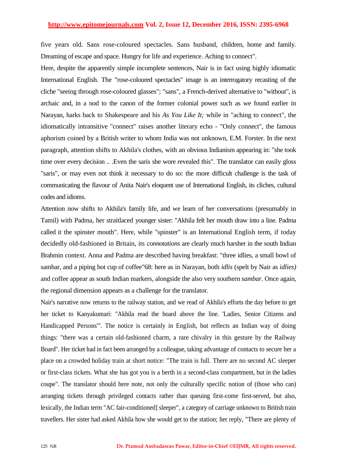five years old. Sans rose-coloured spectacles. Sans husband, children, home and family. Dreaming of escape and space. Hungry for life and experience. Aching to connect".

Here, despite the apparently simple incomplete sentences, Nair is in fact using highly idiomatic International English. The "rose-coloured spectacles" image is an interrogatory recasting of the cliche "seeing through rose-coloured glasses"; "sans", a French-derived alternative to "without", is archaic and, in a nod to the canon of the former colonial power such as we found earlier in Narayan, harks back to Shakespeare and his *As You Like It;* while in "aching to connect", the idiomatically intransitive "connect" raises another literary echo - "Only connect", the famous aphorism coined by a British writer to whom India was not unknown, E.M. Forster. In the next paragraph, attention shifts to Akhila's clothes, with an obvious Indianism appearing in: "she took time over every decision .. .Even the saris she wore revealed this". The translator can easily gloss "saris", or may even not think it necessary to do so: the more difficult challenge is the task of communicating the flavour of Anita Nair's eloquent use of International English, its cliches, cultural codes and idioms.

Attention now shifts to Akhila's family life, and we learn of her conversations (presumably in Tamil) with Padma, her straitlaced younger sister: "Akhila felt her mouth draw into a line. Padma called it the spinster mouth". Here, while "spinster" is an International English term, if today decidedly old-fashioned in Britain, its *connotations* are clearly much harsher in the south Indian Brahmin context. Anna and Padma are described having breakfast: "three idlies, a small bowl of sambar, and a piping hot cup of coffee"68: here as in Narayan, both *idlis* (spelt by Nair as *idlies)*  and coffee appear as south Indian markers, alongside the also very southern *sambar.* Once again, the regional dimension appears as a challenge for the translator.

Nair's narrative now returns to the railway station, and we read of Akhila's efforts the day before to get her ticket to Kanyakumari: "Akhila read the board above the line. 'Ladies, Senior Citizens and Handicapped Persons'". The notice is certainly in English, but reflects an Indian way of doing things: "there was a certain old-fashioned charm, a rare chivalry in this gesture by the Railway Board". Her ticket had in fact been arranged by a colleague, taking advantage of contacts to secure her a place on a crowded holiday train at short notice: "The train is full. There are no second AC sleeper or first-class tickets. What she has got you is a berth in a second-class compartment, but in the ladies coupe". The translator should here note, not only the culturally specific notion of (those who can) arranging tickets through privileged contacts rather than queuing first-come first-served, but also, lexically, the Indian term "AC fair-conditioned] sleeper", a category of carriage unknown to British train travellers. Her sister had asked Akhila how she would get to the station; her reply, "There are plenty of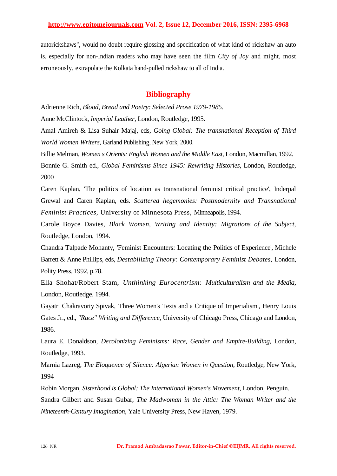autorickshaws", would no doubt require glossing and specification of what kind of rickshaw an auto is, especially for non-Indian readers who may have seen the film *City of Joy* and might, most erroneously, extrapolate the Kolkata hand-pulled rickshaw to all of India.

#### **Bibliography**

Adrienne Rich, *Blood, Bread and Poetry: Selected Prose 1979-1985.*

Anne McClintock, *Imperial Leather,* London, Routledge, 1995.

Amal Amireh & Lisa Suhair Majaj, eds, *Going Global: The transnational Reception of Third World Women Writers,* Garland Publishing, New York, 2000.

Billie Melman, *Women s Orients: English Women and the Middle East,* London, Macmillan, 1992.

Bonnie G. Smith ed., *Global Feminisms Since 1945: Rewriting Histories,* London, Routledge, 2000

Caren Kaplan, 'The politics of location as transnational feminist critical practice', Inderpal Grewal and Caren Kaplan, eds. *Scattered hegemonies: Postmodernity and Transnational Feminist Practices,* University of Minnesota Press, Minneapolis, 1994.

Carole Boyce Davies, *Black Women, Writing and Identity: Migrations of the Subject,*  Routledge, London, 1994.

Chandra Talpade Mohanty, 'Feminist Encounters: Locating the Politics of Experience', Michele Barrett & Anne Phillips, eds, *Destabilizing Theory: Contemporary Feminist Debates,* London, Polity Press, 1992, p.78.

Ella Shohat/Robert Stam, *Unthinking Eurocentrism: Multiculturalism and the Media,*  London, Routledge, 1994.

Gayatri Chakravorty Spivak, 'Three Women's Texts and a Critique of Imperialism', Henry Louis Gates Jr., ed., *"Race" Writing and Difference,* University of Chicago Press, Chicago and London, 1986.

Laura E. Donaldson, *Decolonizing Feminisms: Race, Gender and Empire-Building,* London, Routledge, 1993.

Marnia Lazreg, *The Eloquence of Silence: Algerian Women in Question,* Routledge, New York, 1994

Robin Morgan, *Sisterhood is Global: The International Women's Movement,* London, Penguin.

Sandra Gilbert and Susan Gubar, *The Madwoman in the Attic: The Woman Writer and the Nineteenth-Century Imagination,* Yale University Press, New Haven, 1979.